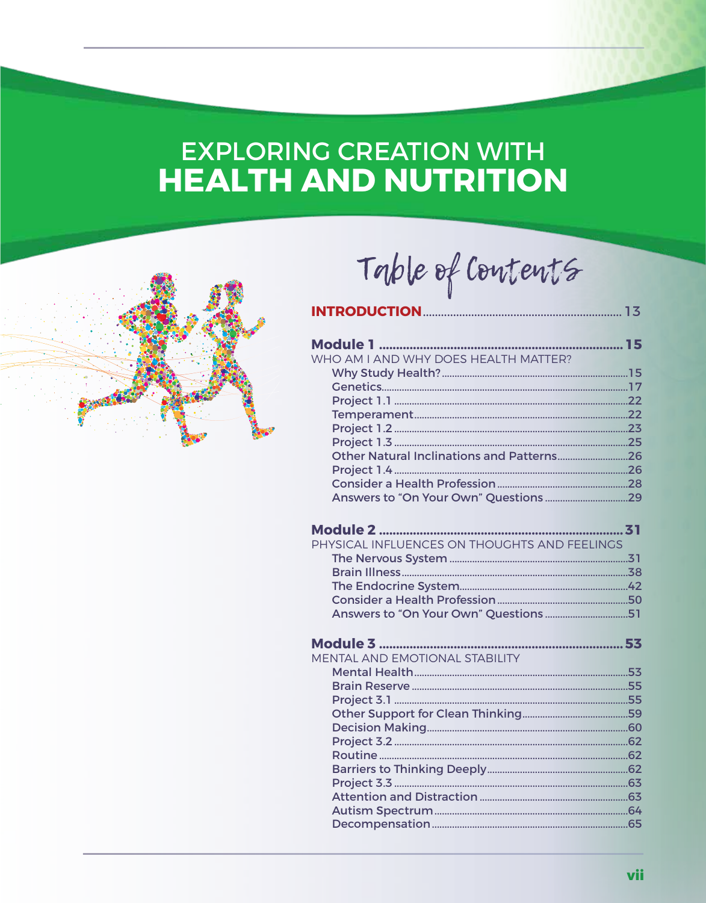## **EXPLORING CREATION WITH HEALTH AND NUTRITION**

**INTRODUCTION..........................** 



Table of Contents

........................13

| WHO AM I AND WHY DOES HEALTH MATTER? |     |
|--------------------------------------|-----|
|                                      | .15 |
|                                      |     |
|                                      | 22  |
|                                      | 22  |
|                                      | .23 |
|                                      | 25  |
|                                      | .26 |
|                                      | 26  |
|                                      | 28  |
|                                      | .29 |
|                                      |     |

| PHYSICAL INFLUENCES ON THOUGHTS AND FEELINGS |  |
|----------------------------------------------|--|
|                                              |  |
|                                              |  |
|                                              |  |
|                                              |  |
|                                              |  |
|                                              |  |

|                                | 53  |
|--------------------------------|-----|
| MENTAL AND EMOTIONAL STABILITY |     |
|                                | .53 |
|                                | .55 |
|                                | .55 |
|                                | 59  |
|                                | .60 |
|                                | .62 |
|                                | .62 |
|                                | .62 |
|                                | 63  |
|                                | .63 |
|                                | .64 |
|                                | .65 |
|                                |     |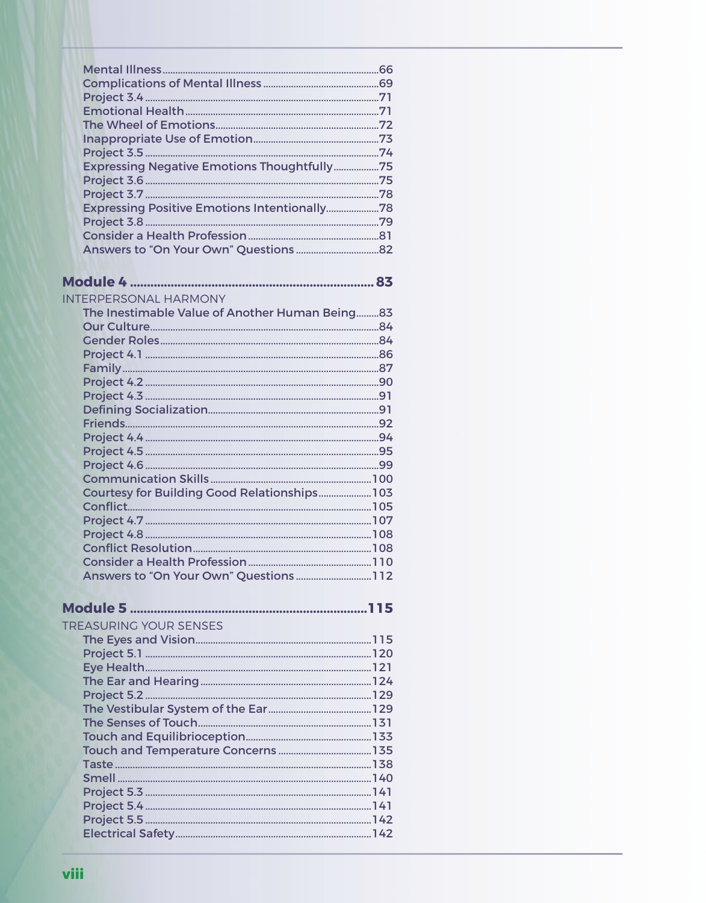| <b>Expressing Negative Emotions Thoughtfully75</b> |  |
|----------------------------------------------------|--|
|                                                    |  |
|                                                    |  |
| Expressing Positive Emotions Intentionally78       |  |
|                                                    |  |
|                                                    |  |
|                                                    |  |
|                                                    |  |

## 

| NTERPERSONAL HARMONY                           |  |
|------------------------------------------------|--|
| The Inestimable Value of Another Human Being83 |  |
|                                                |  |
|                                                |  |
|                                                |  |
|                                                |  |
|                                                |  |
|                                                |  |
|                                                |  |
|                                                |  |
|                                                |  |
|                                                |  |
|                                                |  |
|                                                |  |
| Courtesy for Building Good Relationships103    |  |
|                                                |  |
|                                                |  |
|                                                |  |
|                                                |  |
|                                                |  |
|                                                |  |
|                                                |  |

| <b>TREASURING YOUR SENSES</b> |  |
|-------------------------------|--|
|                               |  |
|                               |  |
|                               |  |
|                               |  |
|                               |  |
|                               |  |
|                               |  |
|                               |  |
|                               |  |
|                               |  |
|                               |  |
|                               |  |
|                               |  |
|                               |  |
|                               |  |
|                               |  |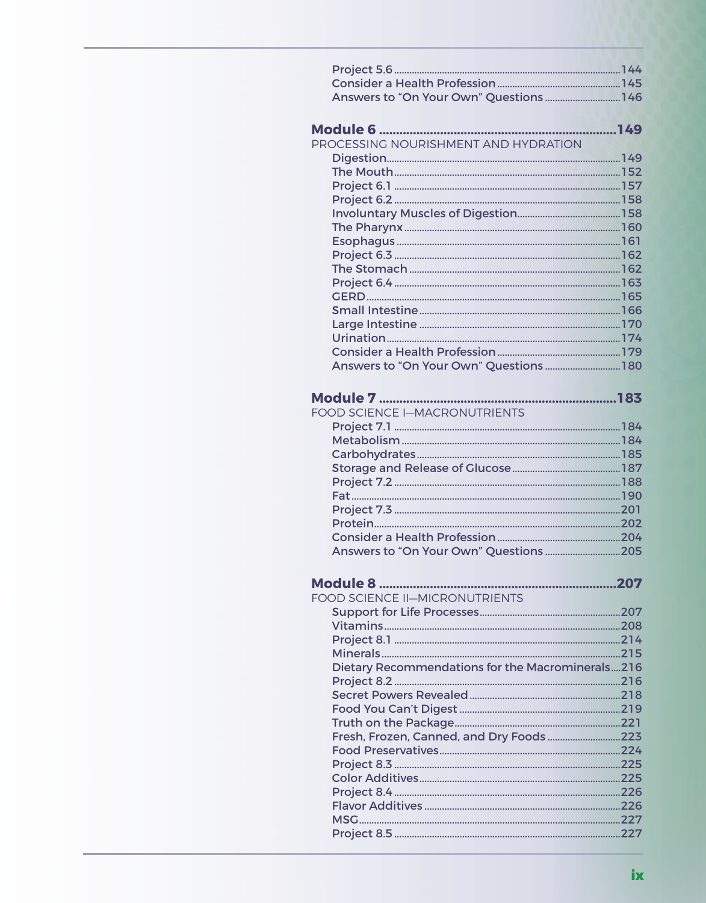| Answers to "On Your Own" Questions  146          |     |
|--------------------------------------------------|-----|
|                                                  |     |
|                                                  |     |
|                                                  |     |
|                                                  |     |
|                                                  |     |
| PROCESSING NOURISHMENT AND HYDRATION             |     |
|                                                  |     |
|                                                  |     |
|                                                  |     |
|                                                  |     |
|                                                  |     |
|                                                  |     |
|                                                  |     |
|                                                  |     |
|                                                  |     |
|                                                  |     |
|                                                  |     |
|                                                  |     |
|                                                  |     |
|                                                  |     |
|                                                  |     |
|                                                  |     |
|                                                  |     |
|                                                  |     |
|                                                  |     |
|                                                  |     |
| <b>FOOD SCIENCE I-MACRONUTRIENTS</b>             |     |
|                                                  |     |
|                                                  |     |
|                                                  |     |
|                                                  |     |
|                                                  |     |
|                                                  |     |
|                                                  |     |
|                                                  |     |
|                                                  |     |
|                                                  |     |
|                                                  |     |
|                                                  |     |
|                                                  |     |
|                                                  | 207 |
| <b>FOOD SCIENCE II-MICRONUTRIENTS</b>            |     |
|                                                  |     |
|                                                  |     |
|                                                  |     |
|                                                  |     |
|                                                  |     |
| Dietary Recommendations for the Macrominerals216 |     |
|                                                  |     |
|                                                  |     |
|                                                  |     |
|                                                  |     |
|                                                  |     |
|                                                  |     |
|                                                  |     |
|                                                  |     |
|                                                  |     |
|                                                  |     |
|                                                  |     |
|                                                  |     |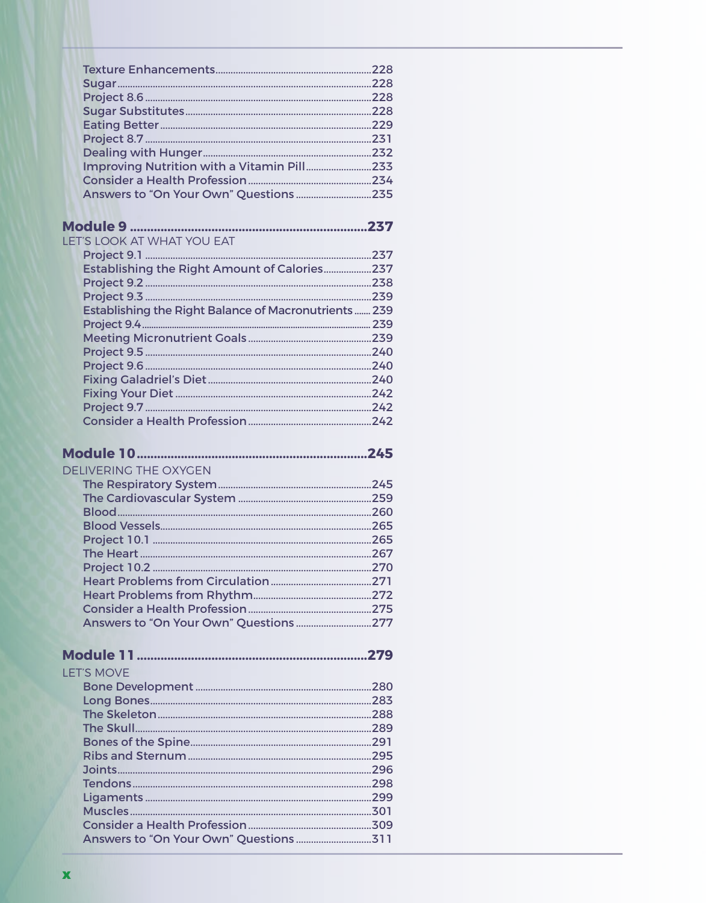| Improving Nutrition with a Vitamin Pill233 |  |
|--------------------------------------------|--|

## 

| LI 3 LOON AT WITAT TOO LAT                                   |      |
|--------------------------------------------------------------|------|
|                                                              | .237 |
| Establishing the Right Amount of Calories237                 |      |
|                                                              | .238 |
|                                                              | .239 |
| <b>Establishing the Right Balance of Macronutrients  239</b> |      |
|                                                              |      |
|                                                              |      |
|                                                              | .240 |
|                                                              | .240 |
|                                                              | .240 |
|                                                              | .242 |
|                                                              | .242 |
| Consider a Health Profession <b>Consider a</b>               | 747  |

|                       | 245  |  |
|-----------------------|------|--|
| DELIVERING THE OXYGEN |      |  |
|                       |      |  |
|                       |      |  |
|                       | .260 |  |
|                       | .265 |  |
|                       | .265 |  |
|                       |      |  |
|                       | .270 |  |
|                       | .271 |  |
|                       |      |  |
|                       |      |  |
|                       |      |  |

|                   | .279 |
|-------------------|------|
| <b>LET'S MOVE</b> |      |
|                   | .280 |
|                   | .283 |
|                   | .288 |
|                   | .289 |
|                   | .291 |
|                   | .295 |
|                   | 296  |
|                   | .298 |
|                   | .299 |
|                   | .301 |
|                   |      |
|                   |      |